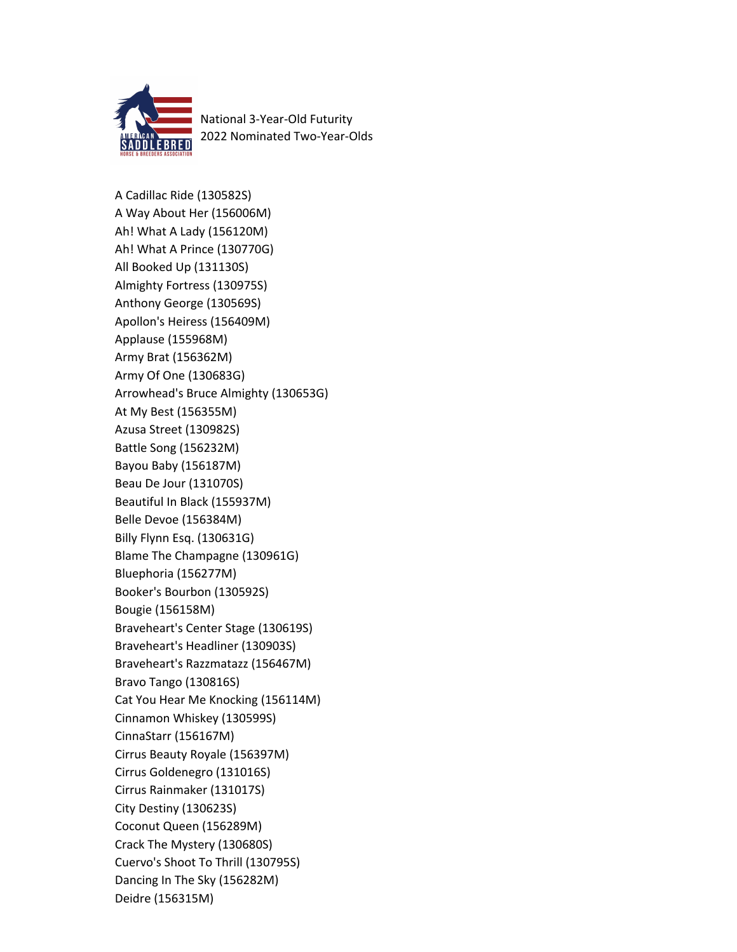

National 3-Year-Old Futurity 2022 Nominated Two-Year-Olds

A Cadillac Ride (130582S) A Way About Her (156006M) Ah! What A Lady (156120M) Ah! What A Prince (130770G) All Booked Up (131130S) Almighty Fortress (130975S) Anthony George (130569S) Apollon's Heiress (156409M) Applause (155968M) Army Brat (156362M) Army Of One (130683G) Arrowhead's Bruce Almighty (130653G) At My Best (156355M) Azusa Street (130982S) Battle Song (156232M) Bayou Baby (156187M) Beau De Jour (131070S) Beautiful In Black (155937M) Belle Devoe (156384M) Billy Flynn Esq. (130631G) Blame The Champagne (130961G) Bluephoria (156277M) Booker's Bourbon (130592S) Bougie (156158M) Braveheart's Center Stage (130619S) Braveheart's Headliner (130903S) Braveheart's Razzmatazz (156467M) Bravo Tango (130816S) Cat You Hear Me Knocking (156114M) Cinnamon Whiskey (130599S) CinnaStarr (156167M) Cirrus Beauty Royale (156397M) Cirrus Goldenegro (131016S) Cirrus Rainmaker (131017S) City Destiny (130623S) Coconut Queen (156289M) Crack The Mystery (130680S) Cuervo's Shoot To Thrill (130795S) Dancing In The Sky (156282M) Deidre (156315M)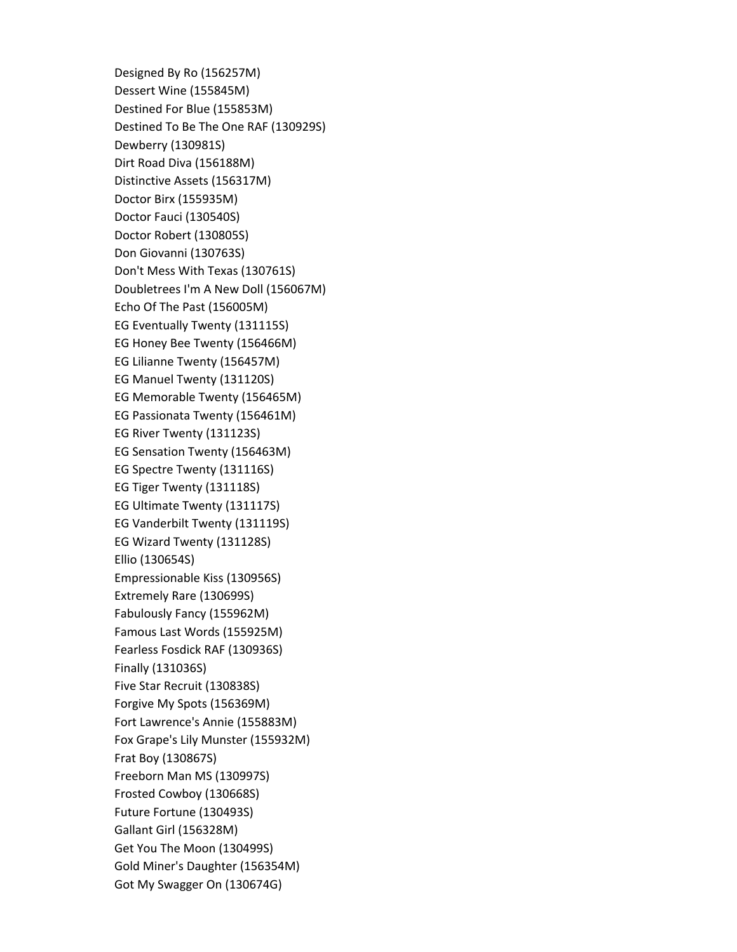Designed By Ro (156257M) Dessert Wine (155845M) Destined For Blue (155853M) Destined To Be The One RAF (130929S) Dewberry (130981S) Dirt Road Diva (156188M) Distinctive Assets (156317M) Doctor Birx (155935M) Doctor Fauci (130540S) Doctor Robert (130805S) Don Giovanni (130763S) Don't Mess With Texas (130761S) Doubletrees I'm A New Doll (156067M) Echo Of The Past (156005M) EG Eventually Twenty (131115S) EG Honey Bee Twenty (156466M) EG Lilianne Twenty (156457M) EG Manuel Twenty (131120S) EG Memorable Twenty (156465M) EG Passionata Twenty (156461M) EG River Twenty (131123S) EG Sensation Twenty (156463M) EG Spectre Twenty (131116S) EG Tiger Twenty (131118S) EG Ultimate Twenty (131117S) EG Vanderbilt Twenty (131119S) EG Wizard Twenty (131128S) Ellio (130654S) Empressionable Kiss (130956S) Extremely Rare (130699S) Fabulously Fancy (155962M) Famous Last Words (155925M) Fearless Fosdick RAF (130936S) Finally (131036S) Five Star Recruit (130838S) Forgive My Spots (156369M) Fort Lawrence's Annie (155883M) Fox Grape's Lily Munster (155932M) Frat Boy (130867S) Freeborn Man MS (130997S) Frosted Cowboy (130668S) Future Fortune (130493S) Gallant Girl (156328M) Get You The Moon (130499S) Gold Miner's Daughter (156354M) Got My Swagger On (130674G)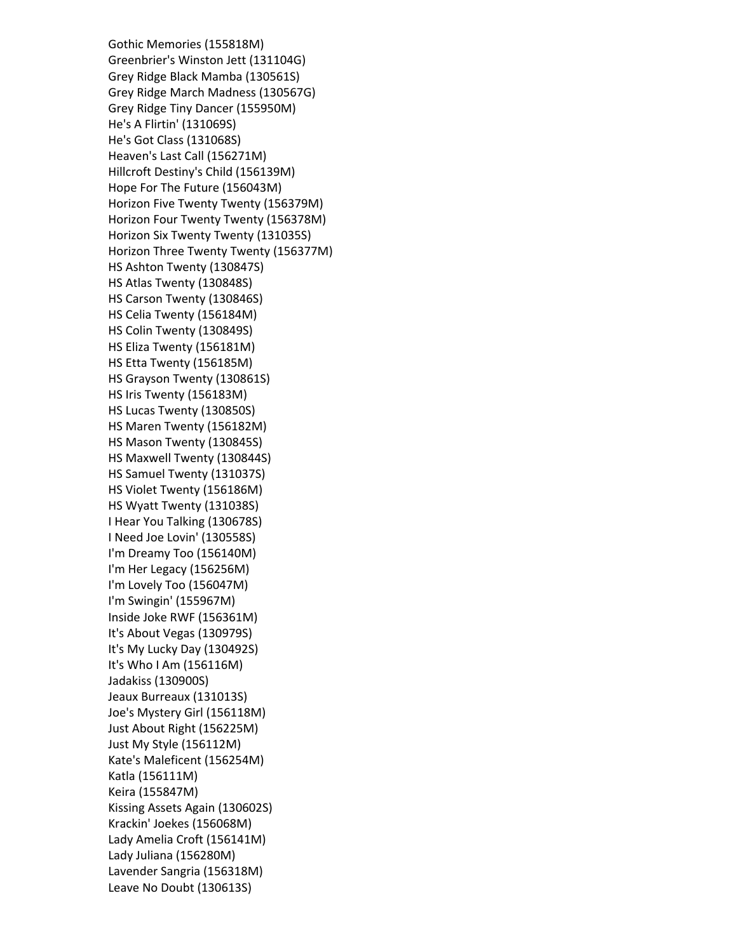Gothic Memories (155818M) Greenbrier's Winston Jett (131104G) Grey Ridge Black Mamba (130561S) Grey Ridge March Madness (130567G) Grey Ridge Tiny Dancer (155950M) He's A Flirtin' (131069S) He's Got Class (131068S) Heaven's Last Call (156271M) Hillcroft Destiny's Child (156139M) Hope For The Future (156043M) Horizon Five Twenty Twenty (156379M) Horizon Four Twenty Twenty (156378M) Horizon Six Twenty Twenty (131035S) Horizon Three Twenty Twenty (156377M) HS Ashton Twenty (130847S) HS Atlas Twenty (130848S) HS Carson Twenty (130846S) HS Celia Twenty (156184M) HS Colin Twenty (130849S) HS Eliza Twenty (156181M) HS Etta Twenty (156185M) HS Grayson Twenty (130861S) HS Iris Twenty (156183M) HS Lucas Twenty (130850S) HS Maren Twenty (156182M) HS Mason Twenty (130845S) HS Maxwell Twenty (130844S) HS Samuel Twenty (131037S) HS Violet Twenty (156186M) HS Wyatt Twenty (131038S) I Hear You Talking (130678S) I Need Joe Lovin' (130558S) I'm Dreamy Too (156140M) I'm Her Legacy (156256M) I'm Lovely Too (156047M) I'm Swingin' (155967M) Inside Joke RWF (156361M) It's About Vegas (130979S) It's My Lucky Day (130492S) It's Who I Am (156116M) Jadakiss (130900S) Jeaux Burreaux (131013S) Joe's Mystery Girl (156118M) Just About Right (156225M) Just My Style (156112M) Kate's Maleficent (156254M) Katla (156111M) Keira (155847M) Kissing Assets Again (130602S) Krackin' Joekes (156068M) Lady Amelia Croft (156141M) Lady Juliana (156280M) Lavender Sangria (156318M) Leave No Doubt (130613S)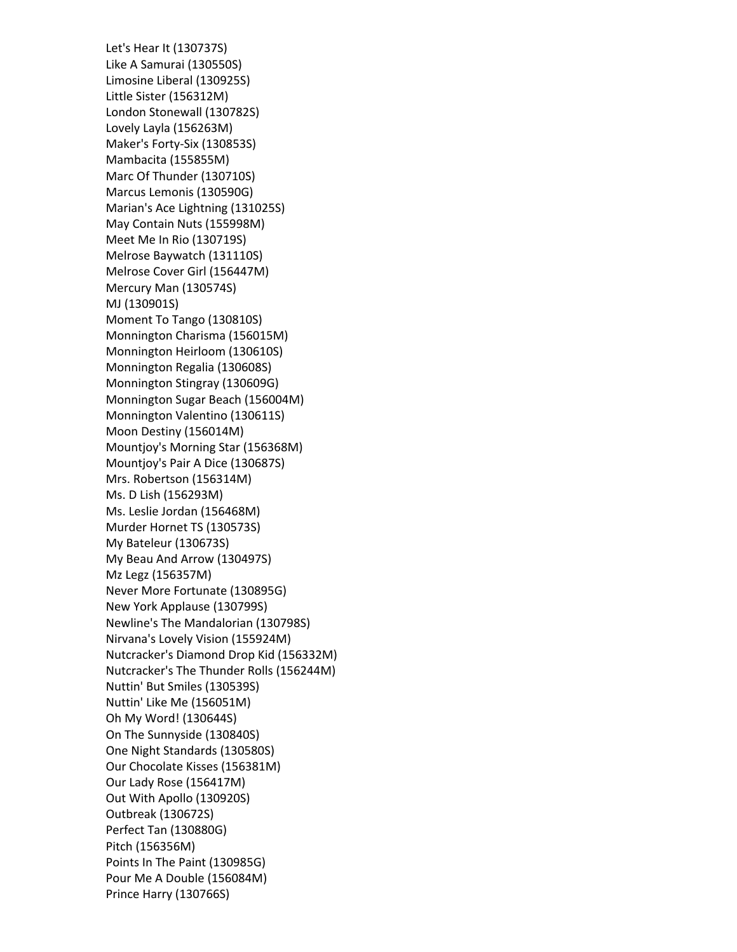Let's Hear It (130737S) Like A Samurai (130550S) Limosine Liberal (130925S) Little Sister (156312M) London Stonewall (130782S) Lovely Layla (156263M) Maker's Forty-Six (130853S) Mambacita (155855M) Marc Of Thunder (130710S) Marcus Lemonis (130590G) Marian's Ace Lightning (131025S) May Contain Nuts (155998M) Meet Me In Rio (130719S) Melrose Baywatch (131110S) Melrose Cover Girl (156447M) Mercury Man (130574S) MJ (130901S) Moment To Tango (130810S) Monnington Charisma (156015M) Monnington Heirloom (130610S) Monnington Regalia (130608S) Monnington Stingray (130609G) Monnington Sugar Beach (156004M) Monnington Valentino (130611S) Moon Destiny (156014M) Mountjoy's Morning Star (156368M) Mountjoy's Pair A Dice (130687S) Mrs. Robertson (156314M) Ms. D Lish (156293M) Ms. Leslie Jordan (156468M) Murder Hornet TS (130573S) My Bateleur (130673S) My Beau And Arrow (130497S) Mz Legz (156357M) Never More Fortunate (130895G) New York Applause (130799S) Newline's The Mandalorian (130798S) Nirvana's Lovely Vision (155924M) Nutcracker's Diamond Drop Kid (156332M) Nutcracker's The Thunder Rolls (156244M) Nuttin' But Smiles (130539S) Nuttin' Like Me (156051M) Oh My Word! (130644S) On The Sunnyside (130840S) One Night Standards (130580S) Our Chocolate Kisses (156381M) Our Lady Rose (156417M) Out With Apollo (130920S) Outbreak (130672S) Perfect Tan (130880G) Pitch (156356M) Points In The Paint (130985G) Pour Me A Double (156084M) Prince Harry (130766S)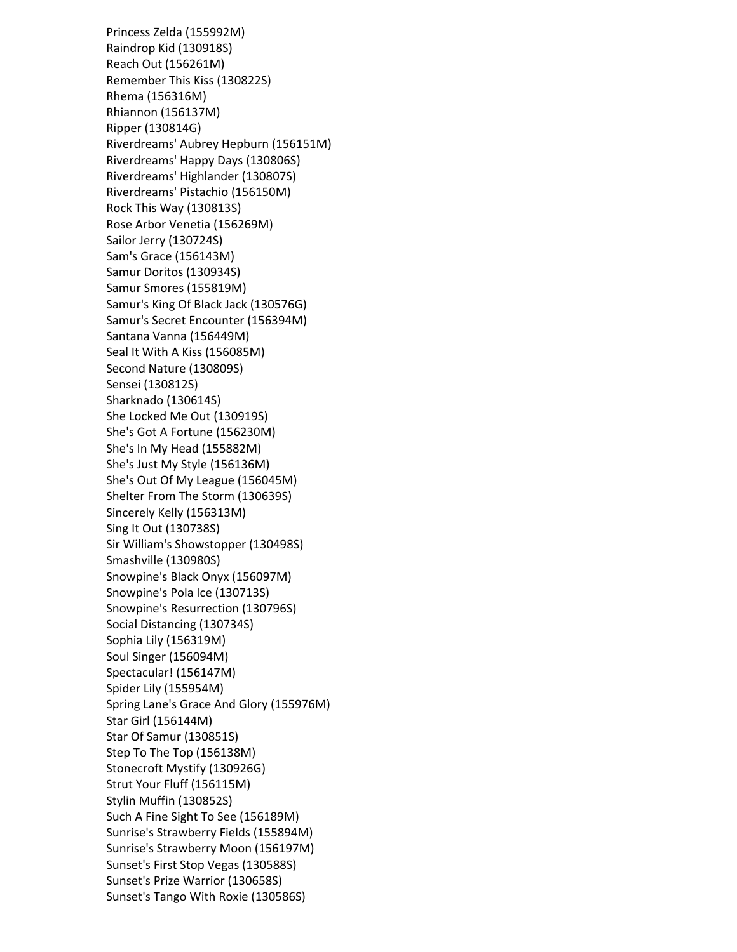Princess Zelda (155992M) Raindrop Kid (130918S) Reach Out (156261M) Remember This Kiss (130822S) Rhema (156316M) Rhiannon (156137M) Ripper (130814G) Riverdreams' Aubrey Hepburn (156151M) Riverdreams' Happy Days (130806S) Riverdreams' Highlander (130807S) Riverdreams' Pistachio (156150M) Rock This Way (130813S) Rose Arbor Venetia (156269M) Sailor Jerry (130724S) Sam's Grace (156143M) Samur Doritos (130934S) Samur Smores (155819M) Samur's King Of Black Jack (130576G) Samur's Secret Encounter (156394M) Santana Vanna (156449M) Seal It With A Kiss (156085M) Second Nature (130809S) Sensei (130812S) Sharknado (130614S) She Locked Me Out (130919S) She's Got A Fortune (156230M) She's In My Head (155882M) She's Just My Style (156136M) She's Out Of My League (156045M) Shelter From The Storm (130639S) Sincerely Kelly (156313M) Sing It Out (130738S) Sir William's Showstopper (130498S) Smashville (130980S) Snowpine's Black Onyx (156097M) Snowpine's Pola Ice (130713S) Snowpine's Resurrection (130796S) Social Distancing (130734S) Sophia Lily (156319M) Soul Singer (156094M) Spectacular! (156147M) Spider Lily (155954M) Spring Lane's Grace And Glory (155976M) Star Girl (156144M) Star Of Samur (130851S) Step To The Top (156138M) Stonecroft Mystify (130926G) Strut Your Fluff (156115M) Stylin Muffin (130852S) Such A Fine Sight To See (156189M) Sunrise's Strawberry Fields (155894M) Sunrise's Strawberry Moon (156197M) Sunset's First Stop Vegas (130588S) Sunset's Prize Warrior (130658S) Sunset's Tango With Roxie (130586S)